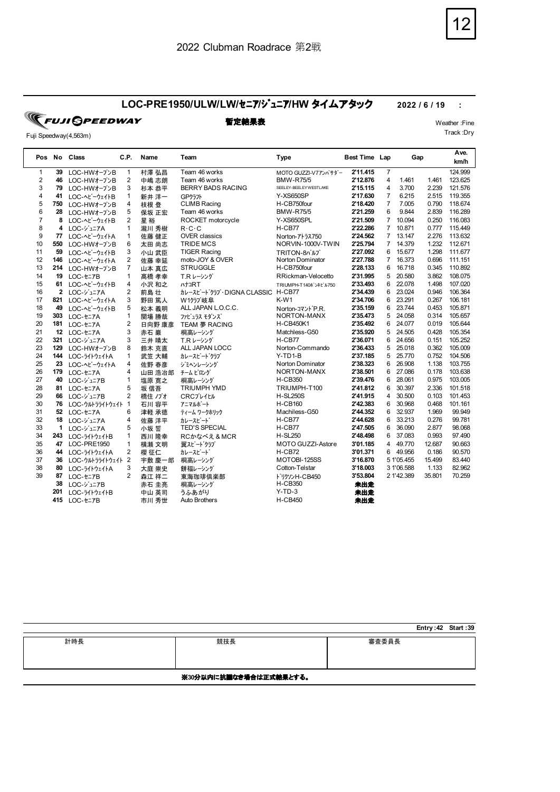## **LOC-PRE1950/ULW/LW/**セニア**/**ジュニア**/HW** タイムアタック **2022 / 6 / 19 :**

| <b>TEUJI SPEEDWAY</b> |              |    |
|-----------------------|--------------|----|
| Fuji Speedway(4,563m) |              |    |
| Pos No Class          | C.P.<br>Name | Tе |

|                |              |                 | C.P.           |        |                           | <b>Type</b>              |                      |                | Gap        |        | Ave.    |
|----------------|--------------|-----------------|----------------|--------|---------------------------|--------------------------|----------------------|----------------|------------|--------|---------|
|                |              | Pos No Class    |                | Name   | Team                      |                          | <b>Best Time Lap</b> |                |            |        | km/h    |
| $\mathbf{1}$   | 39           | LOC-HWオープンB     | 1              | 村澤 弘昌  | Team 46 works             | MOTO GUZZI-V7アンバサダー      | 2'11.415             | $\overline{7}$ |            |        | 124.999 |
| $\overline{2}$ | 46           | LOC-HWオープンB     | 2              | 中嶋 志朗  | Team 46 works             | <b>BMW-R75/5</b>         | 2'12.876             | 4              | 1.461      | 1.461  | 123.625 |
| 3              | 79           | LOC-HWオープンB     | 3              | 杉本 恭平  | <b>BERRY BADS RACING</b>  | SEELEY-BEELEY WESTLAKE   | 2'15.115             | 4              | 3.700      | 2.239  | 121.576 |
| 4              | 41           | LOC-ヘビーウェイトB    | 1              | 新井 洋一  | GPクラフト                    | <b>Y-XS650SP</b>         | 2'17.630             | $\overline{7}$ | 6.215      | 2.515  | 119.355 |
| 5              | 750          | LOC-HWオープンB     | 4              | 枝根 登   | <b>CLIMB Racing</b>       | H-CB750four              | 2'18.420             | $\overline{7}$ | 7.005      | 0.790  | 118.674 |
| 6              | 28           | LOC-HWオープンB     | 5              | 保坂 正宏  | Team 46 works             | <b>BMW-R75/5</b>         | 2'21.259             | 6              | 9.844      | 2.839  | 116.289 |
| $\overline{7}$ | 8            | LOC-ヘビーウェイトB    | 2              | 星裕     | ROCKET motorcycle         | Y-XS650SPL               | 2'21.509             | $\overline{7}$ | 10.094     | 0.250  | 116.083 |
| 8              | 4            | LOC-ジュニアA       | $\mathbf{1}$   | 瀧川 秀樹  | $R \cdot C \cdot C$       | H-CB77                   | 2'22.286             | $\overline{7}$ | 10.871     | 0.777  | 115.449 |
| 9              | 77           | LOC-ヘビーウェイトA    | 1              | 佐藤 健正  | <b>OVER classics</b>      | Norton-アトラス750           | 2'24.562             | $\overline{7}$ | 13.147     | 2.276  | 113.632 |
| 10             | 550          | LOC-HWオープンB     | 6              | 太田 尚志  | <b>TRIDE MCS</b>          | NORVIN-1000V-TWIN        | 2'25.794             | $\overline{7}$ | 14.379     | 1.232  | 112.671 |
| 11             | 59           | LOC-ヘビーウェイトB    | 3              | 小山 武臣  | <b>TIGER Racing</b>       | TRITON-8NIJ              | 2'27.092             | 6              | 15.677     | 1.298  | 111.677 |
| 12             | 146          | LOC-^ビーウェイトA    | 2              | 佐藤 幸延  | moto-JOY & OVER           | Norton Dominator         | 2'27.788             | $\overline{7}$ | 16.373     | 0.696  | 111.151 |
| 13             | 214          | LOC-HWオープンB     | $\overline{7}$ | 山本 真広  | <b>STRUGGLE</b>           | H-CB750four              | 2'28.133             | 6              | 16.718     | 0.345  | 110.892 |
| 14             | 19           | LOC-セニアB        | 1              | 髙橋 孝幸  | T.R レーシング                 | RRickman-Velocetto       | 2'31.995             | 5              | 20.580     | 3.862  | 108.075 |
| 15             | 61           | LOC-ヘビーウェイトB    | 4              | 小沢 和之  | <b>ATIRT</b>              | TRIUMPH-T140ボンネビル750     | 2'33.493             | 6              | 22.078     | 1.498  | 107.020 |
| 16             | $\mathbf{2}$ | LOC-ジュニアA       | 2              | 前島 壮   | カレースピート・クラブ・DIGNA CLASSIC | H-CB77                   | 2'34.439             | 6              | 23.024     | 0.946  | 106.364 |
| 17             | 821          | LOC-ヘビーウェイトA    | 3              | 野田 篤人  | W1クラブ岐阜                   | $K-W1$                   | 2'34.706             | 6              | 23.291     | 0.267  | 106.181 |
| 18             | 49           | LOC-ヘビーウェイトB    | 5              | 松本 義明  | ALL JAPAN L.O.C.C.        | Norton-コマント P.R.         | 2'35.159             | 6              | 23.744     | 0.453  | 105.871 |
| 19             | 303          | LOC-セニアA        | $\mathbf{1}$   | 関場 勝哉  | ファビュラス モダンズ               | NORTON-MANX              | 2'35.473             | 5              | 24.058     | 0.314  | 105.657 |
| 20             | 181          | LOC-セニアA        | 2              | 日向野 康彦 | TEAM 夢 RACING             | <b>H-CB450K1</b>         | 2'35.492             | 6              | 24.077     | 0.019  | 105.644 |
| 21             |              | 12 LOC-t=7A     | 3              | 赤石 巌   | 桐高レーシング                   | Matchless-G50            | 2'35.920             | 5              | 24.505     | 0.428  | 105.354 |
| 22             | 321          | LOC-ジュニアA       | 3              | 三井 晴太  | T.R レーシング                 | H-CB77                   | 2'36.071             | 6              | 24.656     | 0.151  | 105.252 |
| 23             | 129          | LOC-HWオープンB     | 8              | 鈴木 克直  | ALL JAPAN LOCC            | Norton-Commando          | 2'36.433             | 5              | 25.018     | 0.362  | 105.009 |
| 24             | 144          | LOC-51トウェイトA    | $\mathbf{1}$   | 武笠 大輔  | カレースピードクラブ                | $Y-TD1-B$                | 2'37.185             | 5              | 25.770     | 0.752  | 104.506 |
| 25             | 23           | LOC-^ビーウェイトA    | 4              | 佐野 春彦  | ジミヘンレーシング                 | Norton Dominator         | 2'38.323             | 6              | 26.908     | 1.138  | 103.755 |
| 26             | 179          | LOC-セニアA        | 4              | 山田 浩冶郎 | チームビロング                   | NORTON-MANX              | 2'38.501             | 6              | 27.086     | 0.178  | 103.638 |
| 27             | 40           | LOC-ジュニアB       | $\mathbf{1}$   | 塩原 寛之  | 桐高レーシング                   | <b>H-CB350</b>           | 2'39.476             | 6              | 28.061     | 0.975  | 103.005 |
| 28             | 81           | LOC-セニアA        | 5              | 坂 信吾   | <b>TRIUMPH YMD</b>        | TRIUMPH-T100             | 2'41.812             | 6              | 30.397     | 2.336  | 101.518 |
| 29             | 66           | LOC-ジュニアB       | 2              | 橋住 ノブオ | <b>CRCJ'L1LIL</b>         | <b>H-SL250S</b>          | 2'41.915             | 4              | 30.500     | 0.103  | 101.453 |
| 30             | 76           | LOC-ウルトラライトウェイト | $\mathbf{1}$   | 石川 容平  | アニマルボート                   | <b>H-CB160</b>           | 2'42.383             | 6              | 30.968     | 0.468  | 101.161 |
| 31             | 52           | LOC-セニアA        | 6              | 津軽 承徳  | ティーム ワークホリック              | Machiless-G50            | 2'44.352             | 6              | 32.937     | 1.969  | 99.949  |
| 32             | 18           | LOC-ジュニアA       | 4              | 佐藤 洋平  | カレースピード                   | H-CB77                   | 2'44.628             | 6              | 33.213     | 0.276  | 99.781  |
| 33             | 1            | LOC-ジュニアA       | 5              | 小坂誓    | <b>TED'S SPECIAL</b>      | H-CB77                   | 2'47.505             | 6              | 36.090     | 2.877  | 98.068  |
| 34             | 243          | LOC-51トウェイトB    | $\mathbf{1}$   | 西川 降幸  | RCかなべえ&MCR                | <b>H-SL250</b>           | 2'48.498             | 6              | 37.083     | 0.993  | 97.490  |
| 35             | 47           | LOC-PRE1950     | 1              | 横瀬 文明  | 翼スピードクラブ                  | <b>MOTO GUZZI-Astore</b> | 3'01.185             | 4              | 49.770     | 12.687 | 90.663  |
| 36             | 44           | LOC-51トウェイトA    | 2              | 櫻 征仁   | カレースピード                   | H-CB72                   | 3'01.371             | 6              | 49.956     | 0.186  | 90.570  |
| 37             | 36           | LOC-ウルトラライトウェイト | 2              | 宇敷 慶一郎 | 桐高レーシング                   | MOTOBI-125SS             | 3'16.870             |                | 5 1'05.455 | 15.499 | 83.440  |
| 38             | 80           | LOC-51トウェイトA    | 3              | 大庭 崇史  | 餅福レーシング                   | Cotton-Telstar           | 3'18.003             |                | 3 1'06.588 | 1.133  | 82.962  |
| 39             | 87           | LOC-セニアB        | 2              | 森江 祥二  | 東海珈琲倶楽部                   | ドリケソン H-CB450            | 3'53.804             |                | 2 1'42.389 | 35.801 | 70.259  |
|                | 38           | LOC-ジュニアB       |                | 赤石 圭亮  | 桐高レーシング                   | <b>H-CB350</b>           | 未出走                  |                |            |        |         |
|                | 201          | LOC-5イトウェイトB    |                | 中山 英司  | うふあがり                     | $Y-TD-3$                 | 未出走                  |                |            |        |         |
|                | 415          | LOC-セニアB        |                | 市川 秀世  | <b>Auto Brothers</b>      | <b>H-CB450</b>           | 未出走                  |                |            |        |         |

|                        |     | Entry: 42 Start: 39 |  |  |  |  |  |
|------------------------|-----|---------------------|--|--|--|--|--|
| 計時長                    | 競技長 | 審査委員長               |  |  |  |  |  |
| ※30分以内に抗議なき場合は正式結果とする。 |     |                     |  |  |  |  |  |

**暫定結果表** Weather :Fine Track :Dry

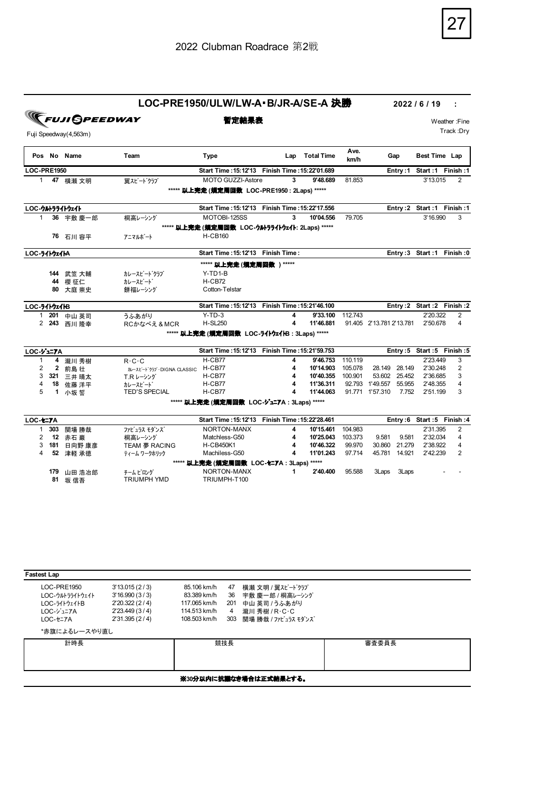

## **LOC-PRE1950/ULW/LW-A・B/JR-A/SE-A 決勝 2022 / 6 / 19 :**<br>**■ 雷定結果表 Weather :! ■ 雷定結果表**

Fuji Speedway(4,563m)

**暫定結果表** Weather :Fine Track :Dry

|                    |              | Pos No Name     | Team                      | <b>Type</b>                                      | Lap | <b>Total Time</b> | Ave.<br>km/h | Gap                      |         | Best Time Lap |                          |
|--------------------|--------------|-----------------|---------------------------|--------------------------------------------------|-----|-------------------|--------------|--------------------------|---------|---------------|--------------------------|
| <b>LOC-PRE1950</b> |              |                 |                           | Start Time: 15: 12'13 Finish Time: 15: 22'01.689 |     |                   |              |                          | Entry:1 |               | Start: 1 Finish: 1       |
| 1                  |              | 47 横瀬 文明        | 翼スピードクラブ                  | MOTO GUZZI-Astore                                | 3   | 9'48.689          | 81.853       |                          |         | 3'13.015      | 2                        |
|                    |              |                 |                           | ***** 以上完走 (規定周回数 LOC-PRE1950 : 2Laps) *****     |     |                   |              |                          |         |               |                          |
|                    |              | LOC-ウルトラライトウェイト |                           | Start Time: 15: 12'13 Finish Time: 15: 22'17.556 |     |                   |              |                          |         |               | Entry:2 Start:1 Finish:1 |
| $\mathbf{1}$       |              | 36 宇敷 慶一郎       | 桐高レーシング                   | MOTOBI-125SS                                     | 3   | 10'04.556         | 79.705       |                          |         | 3'16.990      | 3                        |
|                    |              |                 |                           | ***** 以上完走 (規定周回数 LOC-ウルラライトウェイト: 2Laps) *****   |     |                   |              |                          |         |               |                          |
|                    |              | 76 石川 容平        | アニマルボート                   | <b>H-CB160</b>                                   |     |                   |              |                          |         |               |                          |
| LOC-ライトウェイトA       |              |                 |                           | Start Time: 15:12'13 Finish Time:                |     |                   |              |                          |         |               | Entry:3 Start:1 Finish:0 |
|                    |              |                 |                           | ***** 以上完走 (規定周回数) *****                         |     |                   |              |                          |         |               |                          |
|                    |              | 144 武笠 大輔       | カレースピート゛クラブ               | Y-TD1-B                                          |     |                   |              |                          |         |               |                          |
|                    |              | 44 櫻 征仁         | カレースピード                   | $H-CB72$                                         |     |                   |              |                          |         |               |                          |
|                    | 80.          | 大庭 崇史           | 餅福レーシング                   | Cotton-Telstar                                   |     |                   |              |                          |         |               |                          |
| LOC-ライトウェイトB       |              |                 |                           | Start Time: 15: 12'13 Finish Time: 15: 21'46.100 |     |                   |              |                          |         |               | Entry:2 Start:2 Finish:2 |
|                    |              | 1 201 中山 英司     | うふあがり                     | $Y-TD-3$                                         | 4   | 9'33.100          | 112.743      |                          |         | 2'20.322      | $\overline{2}$           |
|                    | 2 243        | 西川 降幸           | RCかなべえ&MCR                | <b>H-SL250</b>                                   | 4   | 11'46.881         |              | 91.405 2'13.781 2'13.781 |         | 2'50.678      | 4                        |
|                    |              |                 |                           | ***** 以上完走 (規定周回数 LOC-ライトウェイトB: 3Laps) *****     |     |                   |              |                          |         |               |                          |
| LOC-ジェアA           |              |                 |                           | Start Time: 15: 12'13 Finish Time: 15: 21'59.753 |     |                   |              |                          |         |               | Entry:5 Start:5 Finish:5 |
| 1                  | 4            | 瀧川 秀樹           | $R \cdot C \cdot C$       | H-CB77                                           | 4   | 9'46.753          | 110.119      |                          |         | 2'23.449      | 3                        |
| 2                  | $\mathbf{2}$ | 前島 壮            | カレースビート クラブ・DIGNA CLASSIC | H-CB77                                           | 4   | 10'14.903         | 105.078      | 28.149 28.149            |         | 2'30.248      | $\overline{2}$           |
| 3                  | 321          | 三井 晴太           | T.R レーシング                 | H-CB77                                           | 4   | 10'40.355         | 100.901      | 53.602 25.452            |         | 2'36.685      | 3                        |
| 4                  | 18           | 佐藤 洋平           | カレースピード                   | H-CB77                                           | 4   | 11'36.311         | 92.793       | 1'49.557                 | 55.955  | 2'48.355      | 4                        |
| 5                  |              | 1 小坂誓           | <b>TED'S SPECIAL</b>      | H-CB77                                           | 4   | 11'44.063         |              | 91.771 1'57.310          | 7.752   | 2'51.199      | 3                        |
|                    |              |                 |                           | ***** 以上完走 (規定周回数 LOC-ジュニアA: 3Laps) *****        |     |                   |              |                          |         |               |                          |
| LOC-セニアA           |              |                 |                           | Start Time: 15: 12'13 Finish Time: 15: 22'28.461 |     |                   |              |                          |         |               | Entry:6 Start:5 Finish:4 |
| $\mathbf{1}$       | 303          | 関場 勝哉           | ファビュラス モダンズ               | NORTON-MANX                                      | 4   | 10'15.461         | 104.983      |                          |         | 2'31.395      | $\overline{2}$           |
| 2                  |              | 12 赤石巌          | 桐高レーシング                   | Matchless-G50                                    | 4   | 10'25.043         | 103.373      | 9.581                    | 9.581   | 2'32.034      | 4                        |
| 3                  | 181          | 日向野 康彦          | TEAM 夢 RACING             | <b>H-CB450K1</b>                                 | 4   | 10'46.322         | 99.970       | 30.860                   | 21.279  | 2'38.922      | 4                        |
| 4                  | 52           | 津軽 承徳           | ティーム ワークホリック              | Machiless-G50                                    | 4   | 11'01.243         | 97.714       | 45.781                   | 14.921  | 2'42.239      | 2                        |
|                    |              |                 |                           | ***** 以上完走 (規定周回数 LOC-セニアA: 3Laps)               |     | *****             |              |                          |         |               |                          |
|                    | 179          | 山田 浩冶郎          | チームビログ                    | NORTON-MANX                                      | 1   | 2'40.400          | 95.588       | 3Laps                    | 3Laps   |               |                          |
|                    |              | 81 坂信吾          | <b>TRIUMPH YMD</b>        | TRIUMPH-T100                                     |     |                   |              |                          |         |               |                          |

| <b>Fastest Lap</b>                                                                       |                                                                                    |                                                                            |                             |                                                                                              |       |  |  |  |
|------------------------------------------------------------------------------------------|------------------------------------------------------------------------------------|----------------------------------------------------------------------------|-----------------------------|----------------------------------------------------------------------------------------------|-------|--|--|--|
| LOC-PRE1950<br>LOC-ウルトラライトウェイト<br>LOC-51トウェイトB<br>LOC-ジュニアA<br>LOC-+=7A<br>*赤旗によるレースやり直し | 3'13.015(2/3)<br>3'16.990(3/3)<br>2'20.322(2/4)<br>2'23.449 (3/4)<br>2'31.395(2/4) | 85.106 km/h<br>83.389 km/h<br>117.065 km/h<br>114.513 km/h<br>108.503 km/h | 47<br>36<br>201<br>4<br>303 | 横瀬 文明 / 翼スピードクラブ<br>宇敷 慶一郎 / 桐高レーシング<br>中山 英司 /うふあがり<br>瀧川 秀樹 / R・C・C<br>関場 勝哉 / ファビュラス モダンズ |       |  |  |  |
| 計時長                                                                                      |                                                                                    |                                                                            | 競技長                         |                                                                                              | 審査委員長 |  |  |  |
|                                                                                          | ※30分以内に抗議なき場合は正式結果とする。                                                             |                                                                            |                             |                                                                                              |       |  |  |  |